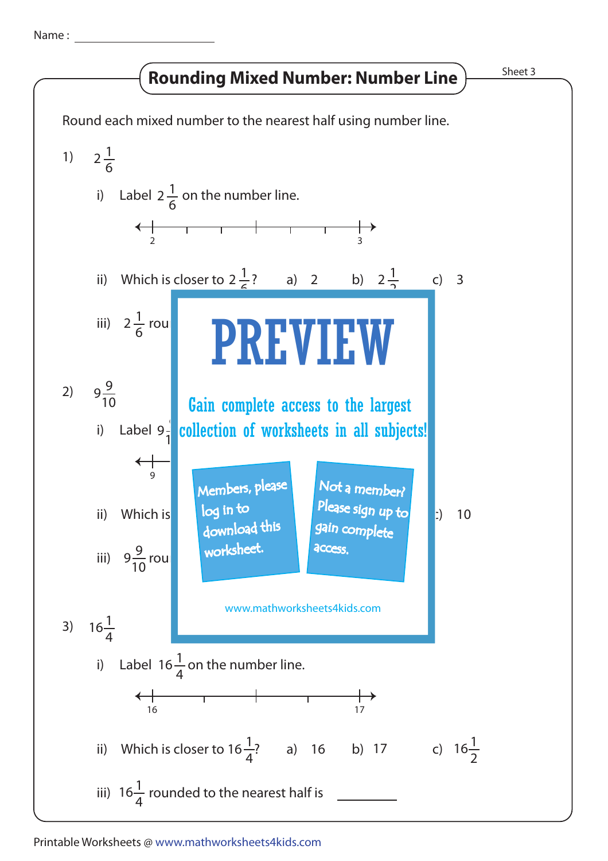Name :

## Rounding Mixed Number: Number Line  $\frac{\text{Sheet 3}}{\text{Sheet 3}}$



## Printable Worksheets @ www.mathworksheets4kids.com